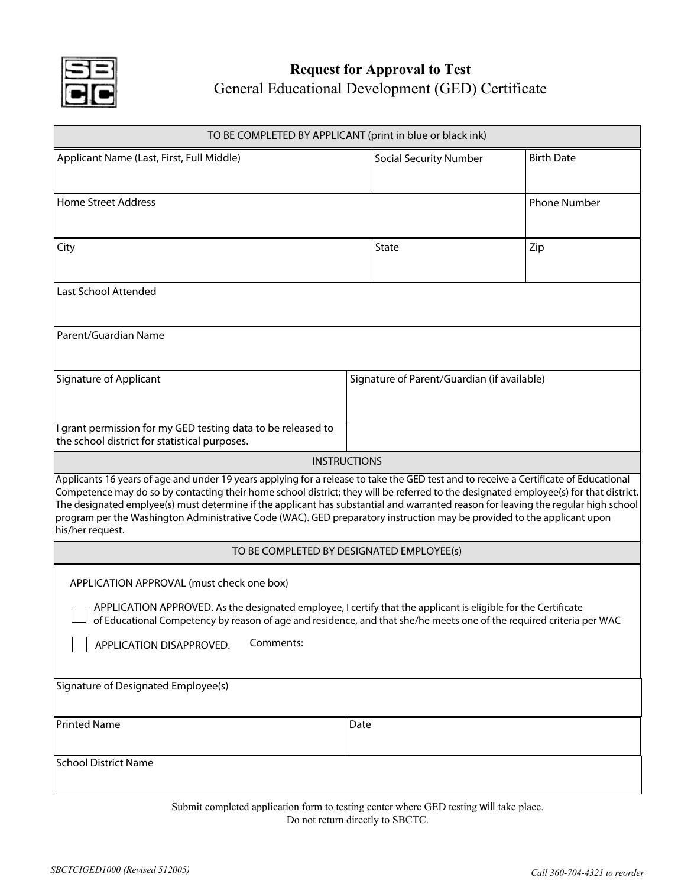

## General Educational Development (GED) Certificate **Request for Approval to Test**

| TO BE COMPLETED BY APPLICANT (print in blue or black ink)                                                                                                                                                                                                                                                                                                                                                                                                                                                                                                           |                                             |                     |
|---------------------------------------------------------------------------------------------------------------------------------------------------------------------------------------------------------------------------------------------------------------------------------------------------------------------------------------------------------------------------------------------------------------------------------------------------------------------------------------------------------------------------------------------------------------------|---------------------------------------------|---------------------|
| Applicant Name (Last, First, Full Middle)                                                                                                                                                                                                                                                                                                                                                                                                                                                                                                                           | <b>Social Security Number</b>               | <b>Birth Date</b>   |
| <b>Home Street Address</b>                                                                                                                                                                                                                                                                                                                                                                                                                                                                                                                                          |                                             | <b>Phone Number</b> |
| City                                                                                                                                                                                                                                                                                                                                                                                                                                                                                                                                                                | State                                       | Zip                 |
| Last School Attended                                                                                                                                                                                                                                                                                                                                                                                                                                                                                                                                                |                                             |                     |
| Parent/Guardian Name                                                                                                                                                                                                                                                                                                                                                                                                                                                                                                                                                |                                             |                     |
| Signature of Applicant                                                                                                                                                                                                                                                                                                                                                                                                                                                                                                                                              | Signature of Parent/Guardian (if available) |                     |
| I grant permission for my GED testing data to be released to<br>the school district for statistical purposes.                                                                                                                                                                                                                                                                                                                                                                                                                                                       |                                             |                     |
| <b>INSTRUCTIONS</b>                                                                                                                                                                                                                                                                                                                                                                                                                                                                                                                                                 |                                             |                     |
| Applicants 16 years of age and under 19 years applying for a release to take the GED test and to receive a Certificate of Educational<br>Competence may do so by contacting their home school district; they will be referred to the designated employee(s) for that district.<br>The designated emplyee(s) must determine if the applicant has substantial and warranted reason for leaving the regular high school<br>program per the Washington Administrative Code (WAC). GED preparatory instruction may be provided to the applicant upon<br>his/her request. |                                             |                     |
| TO BE COMPLETED BY DESIGNATED EMPLOYEE(s)                                                                                                                                                                                                                                                                                                                                                                                                                                                                                                                           |                                             |                     |
| APPLICATION APPROVAL (must check one box)<br>APPLICATION APPROVED. As the designated employee, I certify that the applicant is eligible for the Certificate<br>of Educational Competency by reason of age and residence, and that she/he meets one of the required criteria per WAC<br>Comments:<br>APPLICATION DISAPPROVED.                                                                                                                                                                                                                                        |                                             |                     |
| Signature of Designated Employee(s)                                                                                                                                                                                                                                                                                                                                                                                                                                                                                                                                 |                                             |                     |
| Printed Name                                                                                                                                                                                                                                                                                                                                                                                                                                                                                                                                                        | Date                                        |                     |
| <b>School District Name</b>                                                                                                                                                                                                                                                                                                                                                                                                                                                                                                                                         |                                             |                     |

Submit completed application form to testing center where GED testing will take place. Do not return directly to SBCTC.